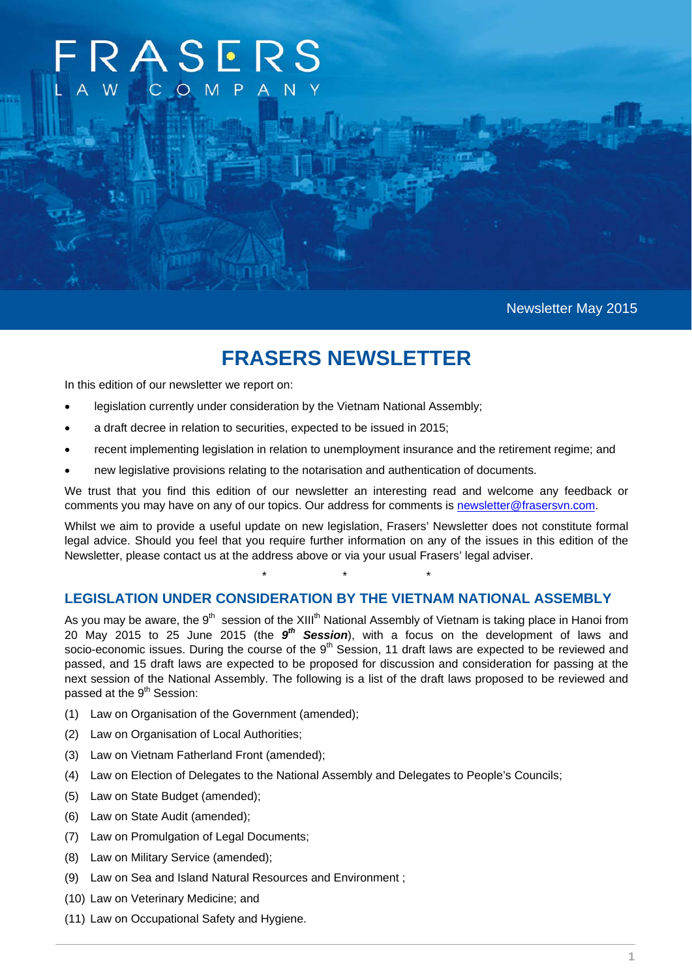# ASERS?

Newsletter May 2015

# **FRASERS NEWSLETTER**

In this edition of our newsletter we report on:

- legislation currently under consideration by the Vietnam National Assembly;
- a draft decree in relation to securities, expected to be issued in 2015;
- recent implementing legislation in relation to unemployment insurance and the retirement regime; and
- new legislative provisions relating to the notarisation and authentication of documents.

We trust that you find this edition of our newsletter an interesting read and welcome any feedback or comments you may have on any of our topics. Our address for comments is newsletter@frasersvn.com.

Whilst we aim to provide a useful update on new legislation, Frasers' Newsletter does not constitute formal legal advice. Should you feel that you require further information on any of the issues in this edition of the Newsletter, please contact us at the address above or via your usual Frasers' legal adviser.

\* \* \*

## **LEGISLATION UNDER CONSIDERATION BY THE VIETNAM NATIONAL ASSEMBLY**

As you may be aware, the 9<sup>th</sup> session of the XIII<sup>th</sup> National Assembly of Vietnam is taking place in Hanoi from 20 May 2015 to 25 June 2015 (the *9th Session*), with a focus on the development of laws and socio-economic issues. During the course of the 9<sup>th</sup> Session, 11 draft laws are expected to be reviewed and passed, and 15 draft laws are expected to be proposed for discussion and consideration for passing at the next session of the National Assembly. The following is a list of the draft laws proposed to be reviewed and passed at the 9<sup>th</sup> Session:

- (1) Law on Organisation of the Government (amended);
- (2) Law on Organisation of Local Authorities;
- (3) Law on Vietnam Fatherland Front (amended);
- (4) Law on Election of Delegates to the National Assembly and Delegates to People's Councils;
- (5) Law on State Budget (amended);
- (6) Law on State Audit (amended);
- (7) Law on Promulgation of Legal Documents;
- (8) Law on Military Service (amended);
- (9) Law on Sea and Island Natural Resources and Environment ;
- (10) Law on Veterinary Medicine; and
- (11) Law on Occupational Safety and Hygiene.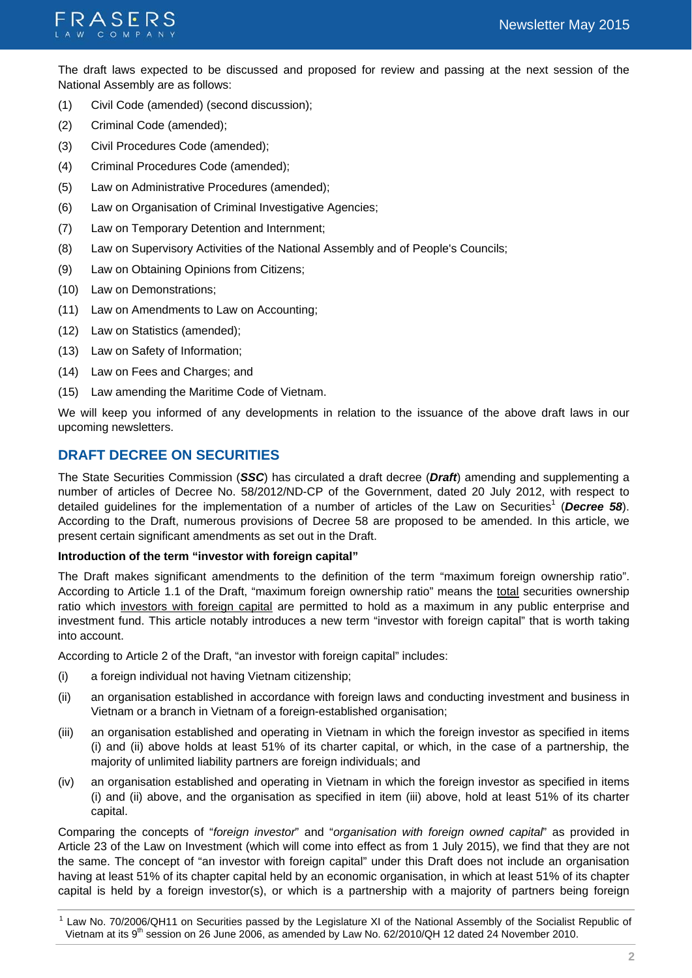

The draft laws expected to be discussed and proposed for review and passing at the next session of the National Assembly are as follows:

- (1) Civil Code (amended) (second discussion);
- (2) Criminal Code (amended);
- (3) Civil Procedures Code (amended);
- (4) Criminal Procedures Code (amended);
- (5) Law on Administrative Procedures (amended);
- (6) Law on Organisation of Criminal Investigative Agencies;
- (7) Law on Temporary Detention and Internment;
- (8) Law on Supervisory Activities of the National Assembly and of People's Councils;
- (9) Law on Obtaining Opinions from Citizens;
- (10) Law on Demonstrations;
- (11) Law on Amendments to Law on Accounting;
- (12) Law on Statistics (amended);
- (13) Law on Safety of Information;
- (14) Law on Fees and Charges; and
- (15) Law amending the Maritime Code of Vietnam.

We will keep you informed of any developments in relation to the issuance of the above draft laws in our upcoming newsletters.

# **DRAFT DECREE ON SECURITIES**

The State Securities Commission (*SSC*) has circulated a draft decree (*Draft*) amending and supplementing a number of articles of Decree No. 58/2012/ND-CP of the Government, dated 20 July 2012, with respect to detailed guidelines for the implementation of a number of articles of the Law on Securities<sup>1</sup> (Decree 58). According to the Draft, numerous provisions of Decree 58 are proposed to be amended. In this article, we present certain significant amendments as set out in the Draft.

#### **Introduction of the term "investor with foreign capital"**

The Draft makes significant amendments to the definition of the term "maximum foreign ownership ratio". According to Article 1.1 of the Draft, "maximum foreign ownership ratio" means the total securities ownership ratio which investors with foreign capital are permitted to hold as a maximum in any public enterprise and investment fund. This article notably introduces a new term "investor with foreign capital" that is worth taking into account.

According to Article 2 of the Draft, "an investor with foreign capital" includes:

- (i) a foreign individual not having Vietnam citizenship;
- (ii) an organisation established in accordance with foreign laws and conducting investment and business in Vietnam or a branch in Vietnam of a foreign-established organisation;
- (iii) an organisation established and operating in Vietnam in which the foreign investor as specified in items (i) and (ii) above holds at least 51% of its charter capital, or which, in the case of a partnership, the majority of unlimited liability partners are foreign individuals; and
- (iv) an organisation established and operating in Vietnam in which the foreign investor as specified in items (i) and (ii) above, and the organisation as specified in item (iii) above, hold at least 51% of its charter capital.

Comparing the concepts of "*foreign investor*" and "*organisation with foreign owned capital*" as provided in Article 23 of the Law on Investment (which will come into effect as from 1 July 2015), we find that they are not the same. The concept of "an investor with foreign capital" under this Draft does not include an organisation having at least 51% of its chapter capital held by an economic organisation, in which at least 51% of its chapter capital is held by a foreign investor(s), or which is a partnership with a majority of partners being foreign

 $1$  Law No. 70/2006/QH11 on Securities passed by the Legislature XI of the National Assembly of the Socialist Republic of Vietnam at its 9<sup>th</sup> session on 26 June 2006, as amended by Law No. 62/2010/QH 12 dated 24 November 2010.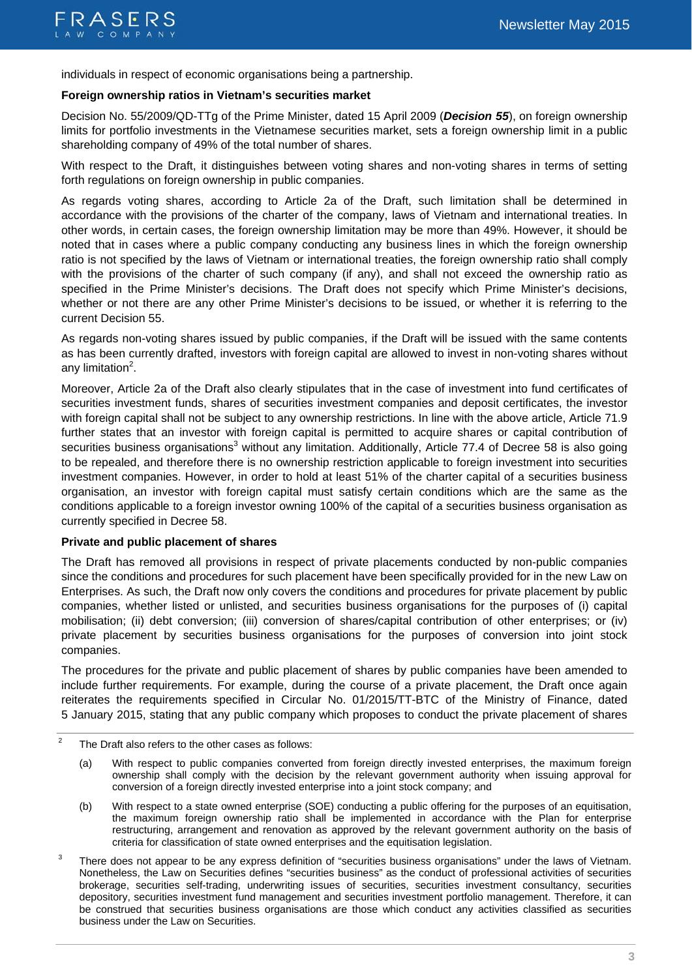

individuals in respect of economic organisations being a partnership.

#### **Foreign ownership ratios in Vietnam's securities market**

Decision No. 55/2009/QD-TTg of the Prime Minister, dated 15 April 2009 (*Decision 55*), on foreign ownership limits for portfolio investments in the Vietnamese securities market, sets a foreign ownership limit in a public shareholding company of 49% of the total number of shares.

With respect to the Draft, it distinguishes between voting shares and non-voting shares in terms of setting forth regulations on foreign ownership in public companies.

As regards voting shares, according to Article 2a of the Draft, such limitation shall be determined in accordance with the provisions of the charter of the company, laws of Vietnam and international treaties. In other words, in certain cases, the foreign ownership limitation may be more than 49%. However, it should be noted that in cases where a public company conducting any business lines in which the foreign ownership ratio is not specified by the laws of Vietnam or international treaties, the foreign ownership ratio shall comply with the provisions of the charter of such company (if any), and shall not exceed the ownership ratio as specified in the Prime Minister's decisions. The Draft does not specify which Prime Minister's decisions, whether or not there are any other Prime Minister's decisions to be issued, or whether it is referring to the current Decision 55.

As regards non-voting shares issued by public companies, if the Draft will be issued with the same contents as has been currently drafted, investors with foreign capital are allowed to invest in non-voting shares without any limitation<sup>2</sup>.

Moreover, Article 2a of the Draft also clearly stipulates that in the case of investment into fund certificates of securities investment funds, shares of securities investment companies and deposit certificates, the investor with foreign capital shall not be subject to any ownership restrictions. In line with the above article, Article 71.9 further states that an investor with foreign capital is permitted to acquire shares or capital contribution of securities business organisations<sup>3</sup> without any limitation. Additionally, Article 77.4 of Decree 58 is also going to be repealed, and therefore there is no ownership restriction applicable to foreign investment into securities investment companies. However, in order to hold at least 51% of the charter capital of a securities business organisation, an investor with foreign capital must satisfy certain conditions which are the same as the conditions applicable to a foreign investor owning 100% of the capital of a securities business organisation as currently specified in Decree 58.

#### **Private and public placement of shares**

The Draft has removed all provisions in respect of private placements conducted by non-public companies since the conditions and procedures for such placement have been specifically provided for in the new Law on Enterprises. As such, the Draft now only covers the conditions and procedures for private placement by public companies, whether listed or unlisted, and securities business organisations for the purposes of (i) capital mobilisation; (ii) debt conversion; (iii) conversion of shares/capital contribution of other enterprises; or (iv) private placement by securities business organisations for the purposes of conversion into joint stock companies.

The procedures for the private and public placement of shares by public companies have been amended to include further requirements. For example, during the course of a private placement, the Draft once again reiterates the requirements specified in Circular No. 01/2015/TT-BTC of the Ministry of Finance, dated 5 January 2015, stating that any public company which proposes to conduct the private placement of shares

- (a) With respect to public companies converted from foreign directly invested enterprises, the maximum foreign ownership shall comply with the decision by the relevant government authority when issuing approval for conversion of a foreign directly invested enterprise into a joint stock company; and
- (b) With respect to a state owned enterprise (SOE) conducting a public offering for the purposes of an equitisation, the maximum foreign ownership ratio shall be implemented in accordance with the Plan for enterprise restructuring, arrangement and renovation as approved by the relevant government authority on the basis of criteria for classification of state owned enterprises and the equitisation legislation.
- $3$  There does not appear to be any express definition of "securities business organisations" under the laws of Vietnam. Nonetheless, the Law on Securities defines "securities business" as the conduct of professional activities of securities brokerage, securities self-trading, underwriting issues of securities, securities investment consultancy, securities depository, securities investment fund management and securities investment portfolio management. Therefore, it can be construed that securities business organisations are those which conduct any activities classified as securities business under the Law on Securities.

 $2^2$  The Draft also refers to the other cases as follows: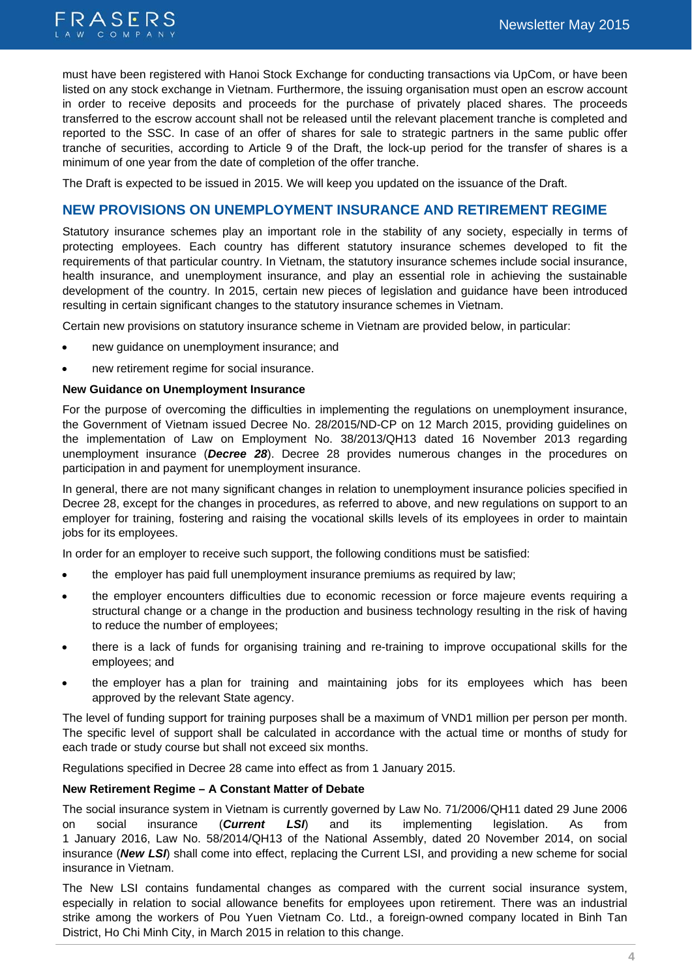

must have been registered with Hanoi Stock Exchange for conducting transactions via UpCom, or have been listed on any stock exchange in Vietnam. Furthermore, the issuing organisation must open an escrow account in order to receive deposits and proceeds for the purchase of privately placed shares. The proceeds transferred to the escrow account shall not be released until the relevant placement tranche is completed and reported to the SSC. In case of an offer of shares for sale to strategic partners in the same public offer tranche of securities, according to Article 9 of the Draft, the lock-up period for the transfer of shares is a minimum of one year from the date of completion of the offer tranche.

The Draft is expected to be issued in 2015. We will keep you updated on the issuance of the Draft.

# **NEW PROVISIONS ON UNEMPLOYMENT INSURANCE AND RETIREMENT REGIME**

Statutory insurance schemes play an important role in the stability of any society, especially in terms of protecting employees. Each country has different statutory insurance schemes developed to fit the requirements of that particular country. In Vietnam, the statutory insurance schemes include social insurance, health insurance, and unemployment insurance, and play an essential role in achieving the sustainable development of the country. In 2015, certain new pieces of legislation and guidance have been introduced resulting in certain significant changes to the statutory insurance schemes in Vietnam.

Certain new provisions on statutory insurance scheme in Vietnam are provided below, in particular:

- new guidance on unemployment insurance; and
- new retirement regime for social insurance.

#### **New Guidance on Unemployment Insurance**

For the purpose of overcoming the difficulties in implementing the regulations on unemployment insurance, the Government of Vietnam issued Decree No. 28/2015/ND-CP on 12 March 2015, providing guidelines on the implementation of Law on Employment No. 38/2013/QH13 dated 16 November 2013 regarding unemployment insurance (*Decree 28*). Decree 28 provides numerous changes in the procedures on participation in and payment for unemployment insurance.

In general, there are not many significant changes in relation to unemployment insurance policies specified in Decree 28, except for the changes in procedures, as referred to above, and new regulations on support to an employer for training, fostering and raising the vocational skills levels of its employees in order to maintain jobs for its employees.

In order for an employer to receive such support, the following conditions must be satisfied:

- the employer has paid full unemployment insurance premiums as required by law;
- the employer encounters difficulties due to economic recession or force majeure events requiring a structural change or a change in the production and business technology resulting in the risk of having to reduce the number of employees;
- there is a lack of funds for organising training and re-training to improve occupational skills for the employees; and
- the employer has a plan for training and maintaining jobs for its employees which has been approved by the relevant State agency.

The level of funding support for training purposes shall be a maximum of VND1 million per person per month. The specific level of support shall be calculated in accordance with the actual time or months of study for each trade or study course but shall not exceed six months.

Regulations specified in Decree 28 came into effect as from 1 January 2015.

#### **New Retirement Regime – A Constant Matter of Debate**

The social insurance system in Vietnam is currently governed by Law No. 71/2006/QH11 dated 29 June 2006 on social insurance (*Current LSI*) and its implementing legislation. As from 1 January 2016, Law No. 58/2014/QH13 of the National Assembly, dated 20 November 2014, on social insurance (*New LSI*) shall come into effect, replacing the Current LSI, and providing a new scheme for social insurance in Vietnam.

The New LSI contains fundamental changes as compared with the current social insurance system, especially in relation to social allowance benefits for employees upon retirement. There was an industrial strike among the workers of Pou Yuen Vietnam Co. Ltd., a foreign-owned company located in Binh Tan District, Ho Chi Minh City, in March 2015 in relation to this change.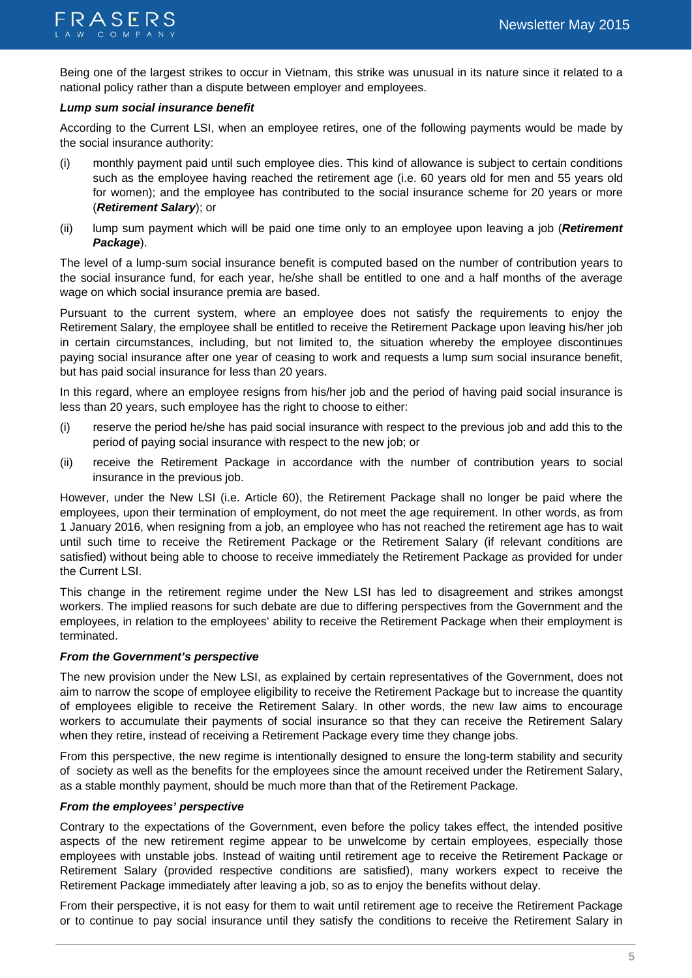

Being one of the largest strikes to occur in Vietnam, this strike was unusual in its nature since it related to a national policy rather than a dispute between employer and employees.

#### *Lump sum social insurance benefit*

According to the Current LSI, when an employee retires, one of the following payments would be made by the social insurance authority:

- (i) monthly payment paid until such employee dies. This kind of allowance is subject to certain conditions such as the employee having reached the retirement age (i.e. 60 years old for men and 55 years old for women); and the employee has contributed to the social insurance scheme for 20 years or more (*Retirement Salary*); or
- (ii) lump sum payment which will be paid one time only to an employee upon leaving a job (*Retirement Package*).

The level of a lump-sum social insurance benefit is computed based on the number of contribution years to the social insurance fund, for each year, he/she shall be entitled to one and a half months of the average wage on which social insurance premia are based.

Pursuant to the current system, where an employee does not satisfy the requirements to enjoy the Retirement Salary, the employee shall be entitled to receive the Retirement Package upon leaving his/her job in certain circumstances, including, but not limited to, the situation whereby the employee discontinues paying social insurance after one year of ceasing to work and requests a lump sum social insurance benefit, but has paid social insurance for less than 20 years.

In this regard, where an employee resigns from his/her job and the period of having paid social insurance is less than 20 years, such employee has the right to choose to either:

- (i) reserve the period he/she has paid social insurance with respect to the previous job and add this to the period of paying social insurance with respect to the new job; or
- (ii) receive the Retirement Package in accordance with the number of contribution years to social insurance in the previous job.

However, under the New LSI (i.e. Article 60), the Retirement Package shall no longer be paid where the employees, upon their termination of employment, do not meet the age requirement. In other words, as from 1 January 2016, when resigning from a job, an employee who has not reached the retirement age has to wait until such time to receive the Retirement Package or the Retirement Salary (if relevant conditions are satisfied) without being able to choose to receive immediately the Retirement Package as provided for under the Current LSI.

This change in the retirement regime under the New LSI has led to disagreement and strikes amongst workers. The implied reasons for such debate are due to differing perspectives from the Government and the employees, in relation to the employees' ability to receive the Retirement Package when their employment is terminated.

#### *From the Government's perspective*

The new provision under the New LSI, as explained by certain representatives of the Government, does not aim to narrow the scope of employee eligibility to receive the Retirement Package but to increase the quantity of employees eligible to receive the Retirement Salary. In other words, the new law aims to encourage workers to accumulate their payments of social insurance so that they can receive the Retirement Salary when they retire, instead of receiving a Retirement Package every time they change jobs.

From this perspective, the new regime is intentionally designed to ensure the long-term stability and security of society as well as the benefits for the employees since the amount received under the Retirement Salary, as a stable monthly payment, should be much more than that of the Retirement Package.

#### *From the employees' perspective*

Contrary to the expectations of the Government, even before the policy takes effect, the intended positive aspects of the new retirement regime appear to be unwelcome by certain employees, especially those employees with unstable jobs. Instead of waiting until retirement age to receive the Retirement Package or Retirement Salary (provided respective conditions are satisfied), many workers expect to receive the Retirement Package immediately after leaving a job, so as to enjoy the benefits without delay.

From their perspective, it is not easy for them to wait until retirement age to receive the Retirement Package or to continue to pay social insurance until they satisfy the conditions to receive the Retirement Salary in